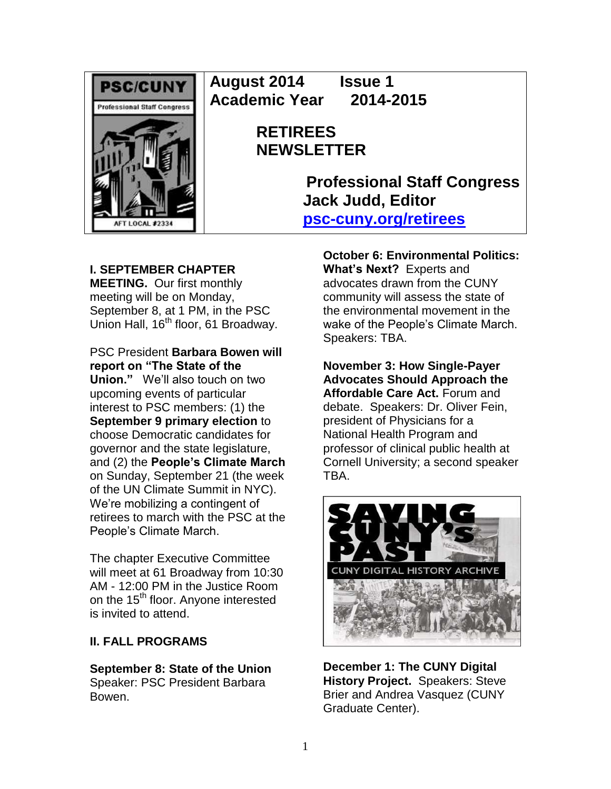

**August 2014 Issue 1 Academic Year 2014-2015**

# **RETIREES NEWSLETTER**

**Professional Staff Congress Jack Judd, Editor [psc-cuny.org/retirees](http://www.psc-cuny.org/retirees)**

## **I. SEPTEMBER CHAPTER**

**MEETING.** Our first monthly meeting will be on Monday, September 8, at 1 PM, in the PSC Union Hall, 16<sup>th</sup> floor, 61 Broadway.

PSC President **Barbara Bowen will report on "The State of the Union."** We'll also touch on two upcoming events of particular interest to PSC members: (1) the **September 9 primary election** to choose Democratic candidates for governor and the state legislature, and (2) the **People's Climate March** on Sunday, September 21 (the week of the UN Climate Summit in NYC). We're mobilizing a contingent of retirees to march with the PSC at the People's Climate March.

The chapter Executive Committee will meet at 61 Broadway from 10:30 AM - 12:00 PM in the Justice Room on the 15<sup>th</sup> floor. Anyone interested is invited to attend.

## **II. FALL PROGRAMS**

**September 8: State of the Union**  Speaker: PSC President Barbara Bowen.

**October 6: Environmental Politics: What's Next?** Experts and advocates drawn from the CUNY community will assess the state of the environmental movement in the wake of the People's Climate March. Speakers: TBA.

**November 3: How Single-Payer Advocates Should Approach the Affordable Care Act.** Forum and debate. Speakers: Dr. Oliver Fein, president of Physicians for a National Health Program and professor of clinical public health at Cornell University; a second speaker TBA.



**December 1: The CUNY Digital History Project.** Speakers: Steve Brier and Andrea Vasquez (CUNY Graduate Center).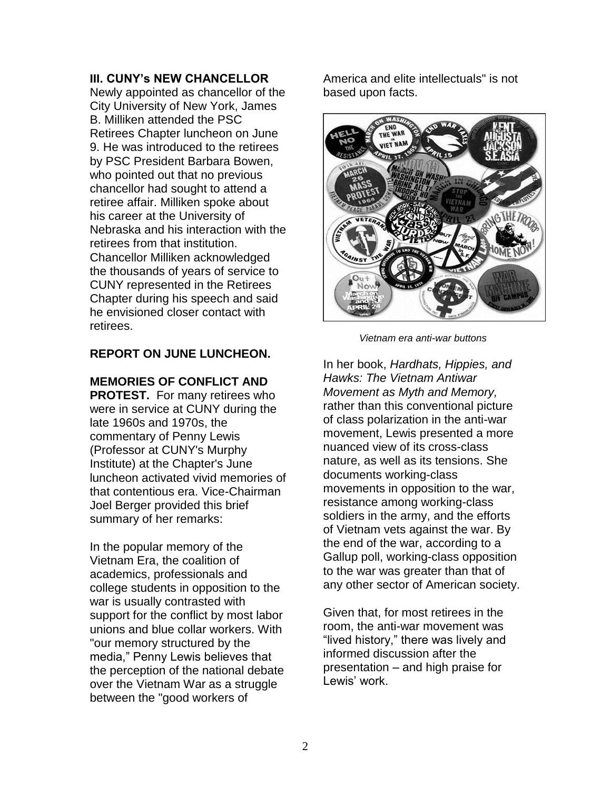#### **III. CUNY's NEW CHANCELLOR**

Newly appointed as chancellor of the City University of New York, James B. Milliken attended the PSC Retirees Chapter luncheon on June 9. He was introduced to the retirees by PSC President Barbara Bowen, who pointed out that no previous chancellor had sought to attend a retiree affair. Milliken spoke about his career at the University of Nebraska and his interaction with the retirees from that institution. Chancellor Milliken acknowledged the thousands of years of service to CUNY represented in the Retirees Chapter during his speech and said he envisioned closer contact with retirees.

### **REPORT ON JUNE LUNCHEON.**

#### **MEMORIES OF CONFLICT AND**

**PROTEST.** For many retirees who were in service at CUNY during the late 1960s and 1970s, the commentary of Penny Lewis (Professor at CUNY's Murphy Institute) at the Chapter's June luncheon activated vivid memories of that contentious era. Vice-Chairman Joel Berger provided this brief summary of her remarks:

In the popular memory of the Vietnam Era, the coalition of academics, professionals and college students in opposition to the war is usually contrasted with support for the conflict by most labor unions and blue collar workers. With "our memory structured by the media," Penny Lewis believes that the perception of the national debate over the Vietnam War as a struggle between the "good workers of

America and elite intellectuals" is not based upon facts.



 *Vietnam era anti-war buttons*

In her book, *Hardhats, Hippies, and Hawks: The Vietnam Antiwar Movement as Myth and Memory,*  rather than this conventional picture of class polarization in the anti-war movement, Lewis presented a more nuanced view of its cross-class nature, as well as its tensions. She documents working-class movements in opposition to the war, resistance among working-class soldiers in the army, and the efforts of Vietnam vets against the war. By the end of the war, according to a Gallup poll, working-class opposition to the war was greater than that of any other sector of American society.

Given that, for most retirees in the room, the anti-war movement was "lived history," there was lively and informed discussion after the presentation – and high praise for Lewis' work.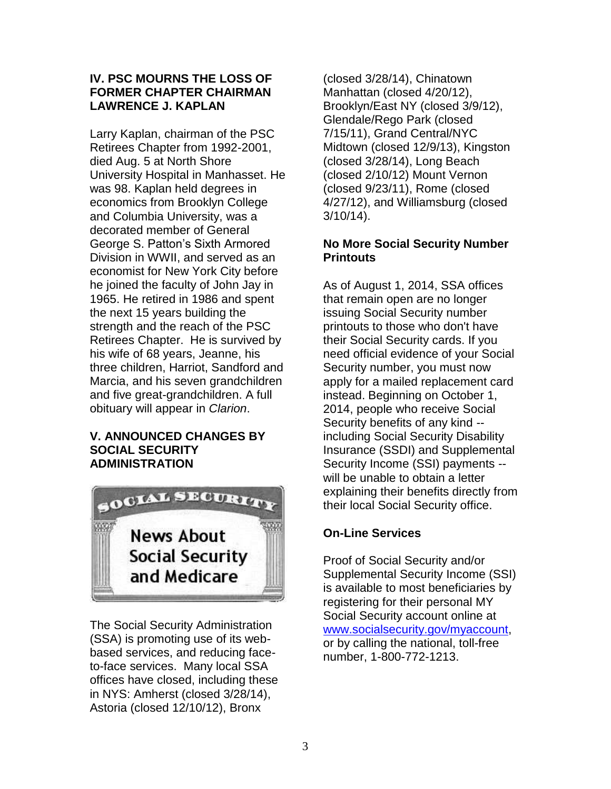## **IV. PSC MOURNS THE LOSS OF FORMER CHAPTER CHAIRMAN LAWRENCE J. KAPLAN**

Larry Kaplan, chairman of the PSC Retirees Chapter from 1992-2001, died Aug. 5 at North Shore University Hospital in Manhasset. He was 98. Kaplan held degrees in economics from Brooklyn College and Columbia University, was a decorated member of General George S. Patton's Sixth Armored Division in WWII, and served as an economist for New York City before he joined the faculty of John Jay in 1965. He retired in 1986 and spent the next 15 years building the strength and the reach of the PSC Retirees Chapter. He is survived by his wife of 68 years, Jeanne, his three children, Harriot, Sandford and Marcia, and his seven grandchildren and five great-grandchildren. A full obituary will appear in *Clarion*.

#### **V. ANNOUNCED CHANGES BY SOCIAL SECURITY ADMINISTRATION**



The Social Security Administration (SSA) is promoting use of its webbased services, and reducing faceto-face services. Many local SSA offices have closed, including these in NYS: Amherst (closed 3/28/14), Astoria (closed 12/10/12), Bronx

(closed 3/28/14), Chinatown Manhattan (closed 4/20/12), Brooklyn/East NY (closed 3/9/12), Glendale/Rego Park (closed 7/15/11), Grand Central/NYC Midtown (closed 12/9/13), Kingston (closed 3/28/14), Long Beach (closed 2/10/12) Mount Vernon (closed 9/23/11), Rome (closed 4/27/12), and Williamsburg (closed 3/10/14).

## **No More Social Security Number Printouts**

As of August 1, 2014, SSA offices that remain open are no longer issuing Social Security number printouts to those who don't have their Social Security cards. If you need official evidence of your Social Security number, you must now apply for a mailed replacement card instead. Beginning on October 1, 2014, people who receive Social Security benefits of any kind - including Social Security Disability Insurance (SSDI) and Supplemental Security Income (SSI) payments - will be unable to obtain a letter explaining their benefits directly from their local Social Security office.

## **On-Line Services**

Proof of Social Security and/or Supplemental Security Income (SSI) is available to most beneficiaries by registering for their personal MY Social Security account online at [www.socialsecurity.gov/myaccount,](http://www.socialsecurity.gov/myaccount) or by calling the national, toll-free number, 1-800-772-1213.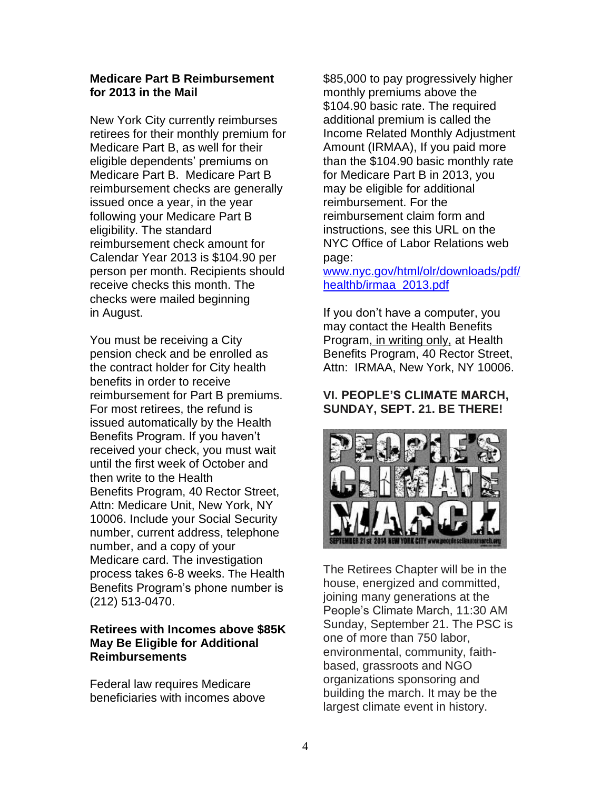#### **Medicare Part B Reimbursement for 2013 in the Mail**

New York City currently reimburses retirees for their monthly premium for Medicare Part B, as well for their eligible dependents' premiums on Medicare Part B. Medicare Part B reimbursement checks are generally issued once a year, in the year following your Medicare Part B eligibility. The standard reimbursement check amount for Calendar Year 2013 is \$104.90 per person per month. Recipients should receive checks this month. The checks were mailed beginning in August.

You must be receiving a City pension check and be enrolled as the contract holder for City health benefits in order to receive reimbursement for Part B premiums. For most retirees, the refund is issued automatically by the Health Benefits Program. If you haven't received your check, you must wait until the first week of October and then write to the Health Benefits Program, 40 Rector Street, Attn: Medicare Unit, New York, NY 10006. Include your Social Security number, current address, telephone number, and a copy of your Medicare card. The investigation process takes 6-8 weeks. The Health Benefits Program's phone number is (212) 513-0470.

## **Retirees with Incomes above \$85K May Be Eligible for Additional Reimbursements**

Federal law requires Medicare beneficiaries with incomes above \$85,000 to pay progressively higher monthly premiums above the \$104.90 basic rate. The required additional premium is called the Income Related Monthly Adjustment Amount (IRMAA), If you paid more than the \$104.90 basic monthly rate for Medicare Part B in 2013, you may be eligible for additional reimbursement. For the reimbursement claim form and instructions, see this URL on the NYC Office of Labor Relations web page:

[www.nyc.gov/html/olr/downloads/pdf/](http://www.nyc.gov/html/olr/downloads/pdf/healthb/irmaa_2013.pdf) [healthb/irmaa\\_2013.pdf](http://www.nyc.gov/html/olr/downloads/pdf/healthb/irmaa_2013.pdf)

If you don't have a computer, you may contact the Health Benefits Program, in writing only, at Health Benefits Program, 40 Rector Street, Attn: IRMAA, New York, NY 10006.

## **VI. PEOPLE'S CLIMATE MARCH, SUNDAY, SEPT. 21. BE THERE!**



The Retirees Chapter will be in the house, energized and committed, joining many generations at the People's Climate March, 11:30 AM Sunday, September 21. The PSC is one of more than 750 labor, environmental, community, faithbased, grassroots and NGO organizations sponsoring and building the march. It may be the largest climate event in history.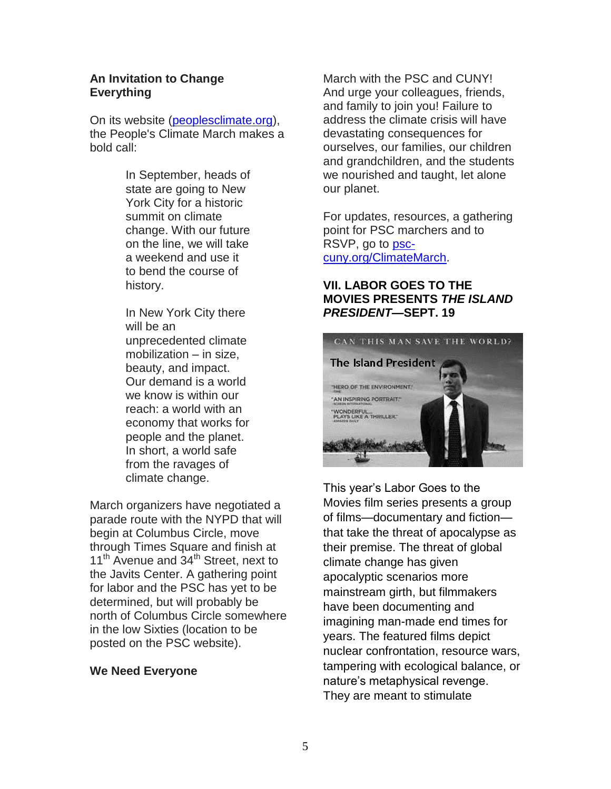#### **An Invitation to Change Everything**

On its website [\(peoplesclimate.org\)](http://peoplesclimate.org/), the People's Climate March makes a bold call:

> In September, heads of state are going to New York City for a historic summit on climate change. With our future on the line, we will take a weekend and use it to bend the course of history.

In New York City there will be an unprecedented climate mobilization – in size, beauty, and impact. Our demand is a world we know is within our reach: a world with an economy that works for people and the planet. In short, a world safe from the ravages of climate change.

March organizers have negotiated a parade route with the NYPD that will begin at Columbus Circle, move through Times Square and finish at 11<sup>th</sup> Avenue and 34<sup>th</sup> Street, next to the Javits Center. A gathering point for labor and the PSC has yet to be determined, but will probably be north of Columbus Circle somewhere in the low Sixties (location to be posted on the PSC website).

#### **We Need Everyone**

March with the PSC and CUNY! And urge your colleagues, friends, and family to join you! Failure to address the climate crisis will have devastating consequences for ourselves, our families, our children and grandchildren, and the students we nourished and taught, let alone our planet.

For updates, resources, a gathering point for PSC marchers and to RSVP, go to [psc](http://psc-cuny.org/ClimateMarch)[cuny.org/ClimateMarch.](http://psc-cuny.org/ClimateMarch)

### **VII. LABOR GOES TO THE MOVIES PRESENTS** *THE ISLAND PRESIDENT***—SEPT. 19**



This year's Labor Goes to the Movies film series presents a group of films—documentary and fiction that take the threat of apocalypse as their premise. The threat of global climate change has given apocalyptic scenarios more mainstream girth, but filmmakers have been documenting and imagining man-made end times for years. The featured films depict nuclear confrontation, resource wars, tampering with ecological balance, or nature's metaphysical revenge. They are meant to stimulate